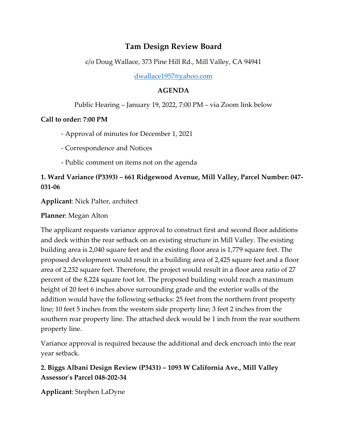# **Tam Design Review Board**

c/o Doug Wallace, 373 Pine Hill Rd., Mill Valley, CA 94941

[dwallace1957@yahoo.com](mailto:dwallace1957@yahoo.com)

#### **AGENDA**

#### Public Hearing – January 19, 2022, 7:00 PM – via Zoom link below

#### **Call to order: 7:00 PM**

- Approval of minutes for December 1, 2021

- Correspondence and Notices
- Public comment on items not on the agenda

### **1. Ward Variance (P3393) – 661 Ridgewood Avenue, Mill Valley, Parcel Number: 047- 031-06**

**Applicant**: Nick Palter, architect

### **Planner**: Megan Alton

The applicant requests variance approval to construct first and second floor additions and deck within the rear setback on an existing structure in Mill Valley. The existing building area is 2,040 square feet and the existing floor area is 1,779 square feet. The proposed development would result in a building area of 2,425 square feet and a floor area of 2,232 square feet. Therefore, the project would result in a floor area ratio of 27 percent of the 8,224 square foot lot. The proposed building would reach a maximum height of 20 feet 6 inches above surrounding grade and the exterior walls of the addition would have the following setbacks: 25 feet from the northern front property line; 10 feet 5 inches from the western side property line; 3 feet 2 inches from the southern rear property line. The attached deck would be 1 inch from the rear southern property line.

Variance approval is required because the additional and deck encroach into the rear year setback.

## **2. Biggs Albani Design Review (P3431) – 1093 W California Ave., Mill Valley Assessor's Parcel 048-202-34**

**Applicant**: Stephen LaDyne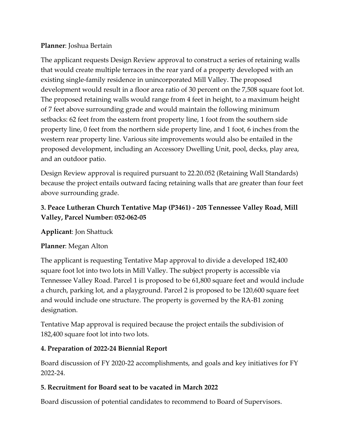#### **Planner**: Joshua Bertain

The applicant requests Design Review approval to construct a series of retaining walls that would create multiple terraces in the rear yard of a property developed with an existing single-family residence in unincorporated Mill Valley. The proposed development would result in a floor area ratio of 30 percent on the 7,508 square foot lot. The proposed retaining walls would range from 4 feet in height, to a maximum height of 7 feet above surrounding grade and would maintain the following minimum setbacks: 62 feet from the eastern front property line, 1 foot from the southern side property line, 0 feet from the northern side property line, and 1 foot, 6 inches from the western rear property line. Various site improvements would also be entailed in the proposed development, including an Accessory Dwelling Unit, pool, decks, play area, and an outdoor patio.

Design Review approval is required pursuant to 22.20.052 (Retaining Wall Standards) because the project entails outward facing retaining walls that are greater than four feet above surrounding grade.

## **3. Peace Lutheran Church Tentative Map (P3461) - 205 Tennessee Valley Road, Mill Valley, Parcel Number: 052-062-05**

**Applicant**: Jon Shattuck

#### **Planner**: Megan Alton

The applicant is requesting Tentative Map approval to divide a developed 182,400 square foot lot into two lots in Mill Valley. The subject property is accessible via Tennessee Valley Road. Parcel 1 is proposed to be 61,800 square feet and would include a church, parking lot, and a playground. Parcel 2 is proposed to be 120,600 square feet and would include one structure. The property is governed by the RA-B1 zoning designation.

Tentative Map approval is required because the project entails the subdivision of 182,400 square foot lot into two lots.

#### **4. Preparation of 2022-24 Biennial Report**

Board discussion of FY 2020-22 accomplishments, and goals and key initiatives for FY 2022-24.

### **5. Recruitment for Board seat to be vacated in March 2022**

Board discussion of potential candidates to recommend to Board of Supervisors.